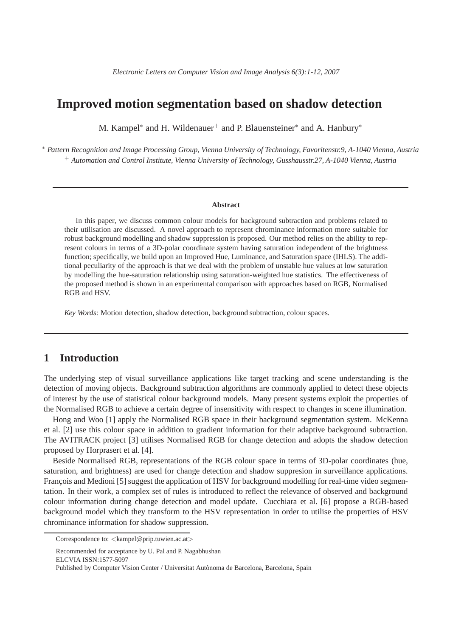# **Improved motion segmentation based on shadow detection**

M. Kampel<sup>∗</sup> and H. Wildenauer<sup>+</sup> and P. Blauensteiner<sup>∗</sup> and A. Hanbury<sup>∗</sup>

<sup>∗</sup> *Pattern Recognition and Image Processing Group, Vienna University of Technology, Favoritenstr.9, A-1040 Vienna, Austria* <sup>+</sup> *Automation and Control Institute, Vienna University of Technology, Gusshausstr.27, A-1040 Vienna, Austria*

#### **Abstract**

In this paper, we discuss common colour models for background subtraction and problems related to their utilisation are discussed. A novel approach to represent chrominance information more suitable for robust background modelling and shadow suppression is proposed. Our method relies on the ability to represent colours in terms of a 3D-polar coordinate system having saturation independent of the brightness function; specifically, we build upon an Improved Hue, Luminance, and Saturation space (IHLS). The additional peculiarity of the approach is that we deal with the problem of unstable hue values at low saturation by modelling the hue-saturation relationship using saturation-weighted hue statistics. The effectiveness of the proposed method is shown in an experimental comparison with approaches based on RGB, Normalised RGB and HSV.

*Key Words*: Motion detection, shadow detection, background subtraction, colour spaces.

# **1 Introduction**

The underlying step of visual surveillance applications like target tracking and scene understanding is the detection of moving objects. Background subtraction algorithms are commonly applied to detect these objects of interest by the use of statistical colour background models. Many present systems exploit the properties of the Normalised RGB to achieve a certain degree of insensitivity with respect to changes in scene illumination.

Hong and Woo [1] apply the Normalised RGB space in their background segmentation system. McKenna et al. [2] use this colour space in addition to gradient information for their adaptive background subtraction. The AVITRACK project [3] utilises Normalised RGB for change detection and adopts the shadow detection proposed by Horprasert et al. [4].

Beside Normalised RGB, representations of the RGB colour space in terms of 3D-polar coordinates (hue, saturation, and brightness) are used for change detection and shadow suppresion in surveillance applications. François and Medioni [5] suggest the application of HSV for background modelling for real-time video segmentation. In their work, a complex set of rules is introduced to reflect the relevance of observed and background colour information during change detection and model update. Cucchiara et al. [6] propose a RGB-based background model which they transform to the HSV representation in order to utilise the properties of HSV chrominance information for shadow suppression.

Correspondence to: <kampel@prip.tuwien.ac.at>

Recommended for acceptance by U. Pal and P. Nagabhushan

ELCVIA ISSN:1577-5097

Published by Computer Vision Center / Universitat Autònoma de Barcelona, Barcelona, Spain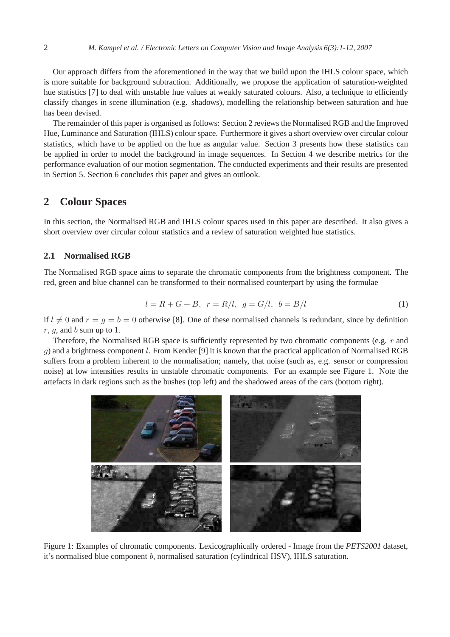Our approach differs from the aforementioned in the way that we build upon the IHLS colour space, which is more suitable for background subtraction. Additionally, we propose the application of saturation-weighted hue statistics [7] to deal with unstable hue values at weakly saturated colours. Also, a technique to efficiently classify changes in scene illumination (e.g. shadows), modelling the relationship between saturation and hue has been devised.

The remainder of this paper is organised as follows: Section 2 reviews the Normalised RGB and the Improved Hue, Luminance and Saturation (IHLS) colour space. Furthermore it gives a short overview over circular colour statistics, which have to be applied on the hue as angular value. Section 3 presents how these statistics can be applied in order to model the background in image sequences. In Section 4 we describe metrics for the performance evaluation of our motion segmentation. The conducted experiments and their results are presented in Section 5. Section 6 concludes this paper and gives an outlook.

## **2 Colour Spaces**

In this section, the Normalised RGB and IHLS colour spaces used in this paper are described. It also gives a short overview over circular colour statistics and a review of saturation weighted hue statistics.

### **2.1 Normalised RGB**

The Normalised RGB space aims to separate the chromatic components from the brightness component. The red, green and blue channel can be transformed to their normalised counterpart by using the formulae

$$
l = R + G + B, r = R/l, g = G/l, b = B/l
$$
\n(1)

if  $l \neq 0$  and  $r = g = b = 0$  otherwise [8]. One of these normalised channels is redundant, since by definition r, q, and b sum up to 1.

Therefore, the Normalised RGB space is sufficiently represented by two chromatic components (e.g. r and g) and a brightness component l. From Kender [9] it is known that the practical application of Normalised RGB suffers from a problem inherent to the normalisation; namely, that noise (such as, e.g. sensor or compression noise) at low intensities results in unstable chromatic components. For an example see Figure 1. Note the artefacts in dark regions such as the bushes (top left) and the shadowed areas of the cars (bottom right).



Figure 1: Examples of chromatic components. Lexicographically ordered - Image from the *PETS2001* dataset, it's normalised blue component b, normalised saturation (cylindrical HSV), IHLS saturation.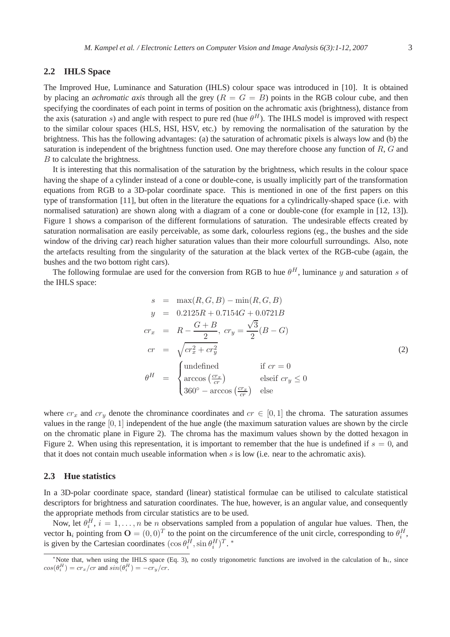#### **2.2 IHLS Space**

The Improved Hue, Luminance and Saturation (IHLS) colour space was introduced in [10]. It is obtained by placing an *achromatic axis* through all the grey  $(R = G = B)$  points in the RGB colour cube, and then specifying the coordinates of each point in terms of position on the achromatic axis (brightness), distance from the axis (saturation s) and angle with respect to pure red (hue  $\theta^H$ ). The IHLS model is improved with respect to the similar colour spaces (HLS, HSI, HSV, etc.) by removing the normalisation of the saturation by the brightness. This has the following advantages: (a) the saturation of achromatic pixels is always low and (b) the saturation is independent of the brightness function used. One may therefore choose any function of  $R$ ,  $G$  and B to calculate the brightness.

It is interesting that this normalisation of the saturation by the brightness, which results in the colour space having the shape of a cylinder instead of a cone or double-cone, is usually implicitly part of the transformation equations from RGB to a 3D-polar coordinate space. This is mentioned in one of the first papers on this type of transformation [11], but often in the literature the equations for a cylindrically-shaped space (i.e. with normalised saturation) are shown along with a diagram of a cone or double-cone (for example in [12, 13]). Figure 1 shows a comparison of the different formulations of saturation. The undesirable effects created by saturation normalisation are easily perceivable, as some dark, colourless regions (eg., the bushes and the side window of the driving car) reach higher saturation values than their more colourfull surroundings. Also, note the artefacts resulting from the singularity of the saturation at the black vertex of the RGB-cube (again, the bushes and the two bottom right cars).

The following formulae are used for the conversion from RGB to hue  $\theta^H$ , luminance y and saturation s of the IHLS space:

$$
s = \max(R, G, B) - \min(R, G, B)
$$
  
\n
$$
y = 0.2125R + 0.7154G + 0.0721B
$$
  
\n
$$
cr_x = R - \frac{G + B}{2}, cr_y = \frac{\sqrt{3}}{2}(B - G)
$$
  
\n
$$
cr = \sqrt{cr_x^2 + cr_y^2}
$$
  
\n
$$
\theta^H = \begin{cases} \text{undefined} & \text{if } cr = 0 \\ \arccos(\frac{cr_x}{cr}) & \text{elseif } cr_y \le 0 \\ 360^\circ - \arccos(\frac{cr_x}{cr}) & \text{else} \end{cases}
$$
\n(2)

where  $cr_x$  and  $cr_y$  denote the chrominance coordinates and  $cr \in [0, 1]$  the chroma. The saturation assumes values in the range [0, 1] independent of the hue angle (the maximum saturation values are shown by the circle on the chromatic plane in Figure 2). The chroma has the maximum values shown by the dotted hexagon in Figure 2. When using this representation, it is important to remember that the hue is undefined if  $s = 0$ , and that it does not contain much useable information when s is low (i.e. near to the achromatic axis).

#### **2.3 Hue statistics**

In a 3D-polar coordinate space, standard (linear) statistical formulae can be utilised to calculate statistical descriptors for brightness and saturation coordinates. The hue, however, is an angular value, and consequently the appropriate methods from circular statistics are to be used.

Now, let  $\theta_i^H$ ,  $i = 1, \ldots, n$  be n observations sampled from a population of angular hue values. Then, then vector  $\mathbf{h}_i$  pointing from  $\mathbf{O} = (0,0)^T$  to the point on the circumference of the unit circle, corresponding to  $\theta_i^H$ , is given by the Cartesian coordinates  $(\cos \theta_i^{\tilde{H}}, \sin \theta_i^H)^T$ .\*

<sup>\*</sup>Note that, when using the IHLS space (Eq. 3), no costly trigonometric functions are involved in the calculation of  $h_i$ , since  $cos(\theta_i^H) = cr_x/cr$  and  $sin(\theta_i^H) = -cr_y/cr$ .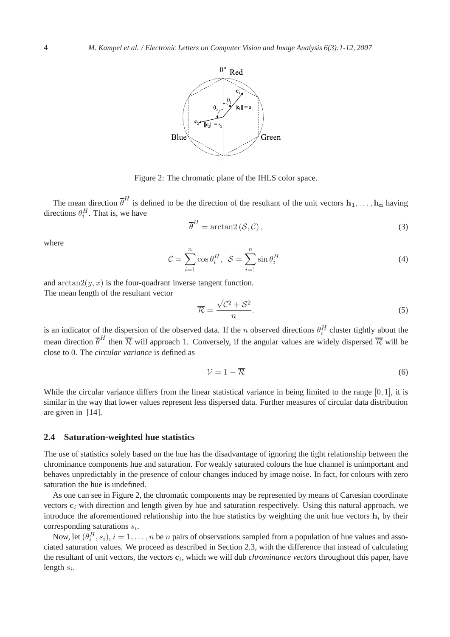

Figure 2: The chromatic plane of the IHLS color space.

The mean direction  $\bar{\theta}^H$  is defined to be the direction of the resultant of the unit vectors  $\mathbf{h}_1, \dots, \mathbf{h}_n$  having directions  $\theta_i^H$ . That is, we have

$$
\overline{\theta}^{H} = \arctan 2\left(\mathcal{S}, \mathcal{C}\right),\tag{3}
$$

where

$$
\mathcal{C} = \sum_{i=1}^{n} \cos \theta_i^H, \quad \mathcal{S} = \sum_{i=1}^{n} \sin \theta_i^H \tag{4}
$$

and  $arctan(2(y, x)$  is the four-quadrant inverse tangent function.

The mean length of the resultant vector

$$
\overline{\mathcal{R}} = \frac{\sqrt{\mathcal{C}^2 + \mathcal{S}^2}}{n}.
$$
\n(5)

is an indicator of the dispersion of the observed data. If the n observed directions  $\theta_i^H$  cluster tightly about the mean direction  $\overline{\theta}^H$  then  $\overline{\mathcal{R}}$  will approach 1. Conversely, if the angular values are widely dispersed  $\overline{\mathcal{R}}$  will be close to 0. The *circular variance* is defined as

$$
\mathcal{V} = 1 - \overline{\mathcal{R}} \tag{6}
$$

While the circular variance differs from the linear statistical variance in being limited to the range  $[0, 1]$ , it is similar in the way that lower values represent less dispersed data. Further measures of circular data distribution are given in [14].

#### **2.4 Saturation-weighted hue statistics**

The use of statistics solely based on the hue has the disadvantage of ignoring the tight relationship between the chrominance components hue and saturation. For weakly saturated colours the hue channel is unimportant and behaves unpredictably in the presence of colour changes induced by image noise. In fact, for colours with zero saturation the hue is undefined.

As one can see in Figure 2, the chromatic components may be represented by means of Cartesian coordinate vectors  $c_i$  with direction and length given by hue and saturation respectively. Using this natural approach, we introduce the aforementioned relationship into the hue statistics by weighting the unit hue vectors  $\mathbf{h}_i$  by their corresponding saturations  $s_i$ .

Now, let  $(\theta_i^H, s_i)$ ,  $i = 1, ..., n$  be *n* pairs of observations sampled from a population of hue values and associated saturation values. We proceed as described in Section 2.3, with the difference that instead of calculating the resultant of unit vectors, the vectors  $c_i$ , which we will dub *chrominance vectors* throughout this paper, have length  $s_i$ .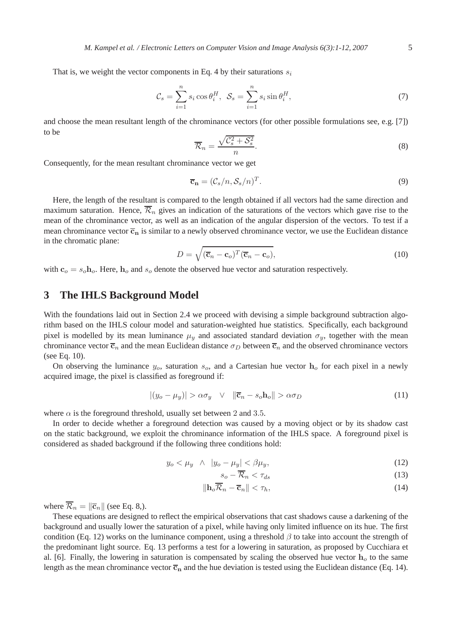That is, we weight the vector components in Eq. 4 by their saturations  $s_i$ 

$$
\mathcal{C}_s = \sum_{i=1}^n s_i \cos \theta_i^H, \quad \mathcal{S}_s = \sum_{i=1}^n s_i \sin \theta_i^H,\tag{7}
$$

and choose the mean resultant length of the chrominance vectors (for other possible formulations see, e.g. [7]) to be

$$
\overline{\mathcal{R}}_n = \frac{\sqrt{\mathcal{C}_s^2 + \mathcal{S}_s^2}}{n}.\tag{8}
$$

Consequently, for the mean resultant chrominance vector we get

$$
\overline{\mathbf{c}}_{\mathbf{n}} = (\mathcal{C}_s/n, \mathcal{S}_s/n)^T. \tag{9}
$$

Here, the length of the resultant is compared to the length obtained if all vectors had the same direction and maximum saturation. Hence,  $\overline{\mathcal{R}}_n$  gives an indication of the saturations of the vectors which gave rise to the mean of the chrominance vector, as well as an indication of the angular dispersion of the vectors. To test if a mean chrominance vector  $\overline{c}_n$  is similar to a newly observed chrominance vector, we use the Euclidean distance in the chromatic plane:

$$
D = \sqrt{(\overline{\mathbf{c}}_n - \mathbf{c}_o)^T (\overline{\mathbf{c}}_n - \mathbf{c}_o)},
$$
\n(10)

with  $c<sub>o</sub> = s<sub>o</sub> h<sub>o</sub>$ . Here,  $h<sub>o</sub>$  and  $s<sub>o</sub>$  denote the observed hue vector and saturation respectively.

## **3 The IHLS Background Model**

With the foundations laid out in Section 2.4 we proceed with devising a simple background subtraction algorithm based on the IHLS colour model and saturation-weighted hue statistics. Specifically, each background pixel is modelled by its mean luminance  $\mu_y$  and associated standard deviation  $\sigma_y$ , together with the mean chrominance vector  $\bar{c}_n$  and the mean Euclidean distance  $\sigma_D$  between  $\bar{c}_n$  and the observed chrominance vectors (see Eq. 10).

On observing the luminance  $y_o$ , saturation  $s_o$ , and a Cartesian hue vector  $h_o$  for each pixel in a newly acquired image, the pixel is classified as foreground if:

$$
|(y_o - \mu_y)| > \alpha \sigma_y \quad \lor \quad ||\overline{\mathbf{c}}_n - s_o \mathbf{h}_o|| > \alpha \sigma_D \tag{11}
$$

where  $\alpha$  is the foreground threshold, usually set between 2 and 3.5.

In order to decide whether a foreground detection was caused by a moving object or by its shadow cast on the static background, we exploit the chrominance information of the IHLS space. A foreground pixel is considered as shaded background if the following three conditions hold:

$$
y_o < \mu_y \quad \land \quad |y_o - \mu_y| < \beta \mu_y,\tag{12}
$$

$$
s_o - \overline{\mathcal{R}}_n < \tau_{ds} \tag{13}
$$

$$
\|\mathbf{h}_o \overline{\mathcal{R}}_n - \overline{\mathbf{c}}_n\| < \tau_h,\tag{14}
$$

where  $\overline{\mathcal{R}}_n = ||\overline{\mathbf{c}}_n||$  (see Eq. 8,).

These equations are designed to reflect the empirical observations that cast shadows cause a darkening of the background and usually lower the saturation of a pixel, while having only limited influence on its hue. The first condition (Eq. 12) works on the luminance component, using a threshold  $\beta$  to take into account the strength of the predominant light source. Eq. 13 performs a test for a lowering in saturation, as proposed by Cucchiara et al. [6]. Finally, the lowering in saturation is compensated by scaling the observed hue vector  $h_0$  to the same length as the mean chrominance vector  $\overline{c}_n$  and the hue deviation is tested using the Euclidean distance (Eq. 14).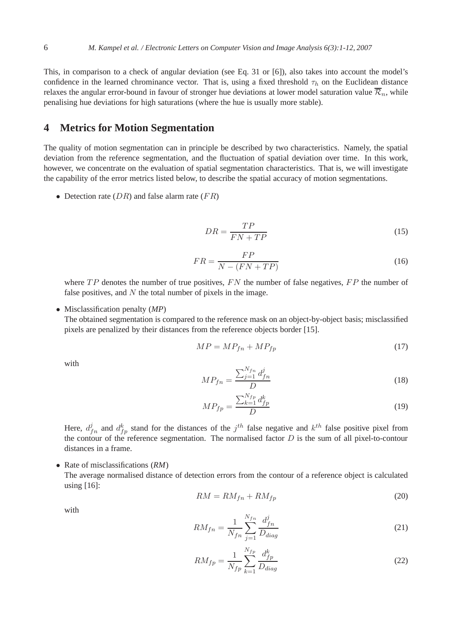This, in comparison to a check of angular deviation (see Eq. 31 or [6]), also takes into account the model's confidence in the learned chrominance vector. That is, using a fixed threshold  $\tau_h$  on the Euclidean distance relaxes the angular error-bound in favour of stronger hue deviations at lower model saturation value  $\overline{\mathcal{R}}_n$ , while penalising hue deviations for high saturations (where the hue is usually more stable).

## **4 Metrics for Motion Segmentation**

The quality of motion segmentation can in principle be described by two characteristics. Namely, the spatial deviation from the reference segmentation, and the fluctuation of spatial deviation over time. In this work, however, we concentrate on the evaluation of spatial segmentation characteristics. That is, we will investigate the capability of the error metrics listed below, to describe the spatial accuracy of motion segmentations.

• Detection rate  $(DR)$  and false alarm rate  $(FR)$ 

$$
DR = \frac{TP}{FN + TP}
$$
\n<sup>(15)</sup>

$$
FR = \frac{FP}{N - (FN + TP)}
$$
\n(16)

where  $TP$  denotes the number of true positives,  $FN$  the number of false negatives,  $FP$  the number of false positives, and  $N$  the total number of pixels in the image.

• Misclassification penalty (*MP*)

The obtained segmentation is compared to the reference mask on an object-by-object basis; misclassified pixels are penalized by their distances from the reference objects border [15].

$$
MP = MP_{fn} + MP_{fp} \tag{17}
$$

with

$$
MP_{fn} = \frac{\sum_{j=1}^{N_{fn}} d_{fn}^j}{D} \tag{18}
$$

$$
MP_{fp} = \frac{\sum_{k=1}^{N_{fp}} d_{fp}^k}{D}
$$
 (19)

Here,  $d_{fn}^j$  and  $d_{fp}^k$  stand for the distances of the  $j^{th}$  false negative and  $k^{th}$  false positive pixel from the contour of the reference segmentation. The normalised factor  $D$  is the sum of all pixel-to-contour distances in a frame.

• Rate of misclassifications (*RM*)

The average normalised distance of detection errors from the contour of a reference object is calculated using [16]:

$$
RM = RM_{fn} + RM_{fp} \tag{20}
$$

with

$$
RM_{fn} = \frac{1}{N_{fn}} \sum_{j=1}^{N_{fn}} \frac{d_{fn}^j}{D_{diag}} \tag{21}
$$

$$
RM_{fp} = \frac{1}{N_{fp}} \sum_{k=1}^{N_{fp}} \frac{d_{fp}^k}{D_{diag}}
$$
\n(22)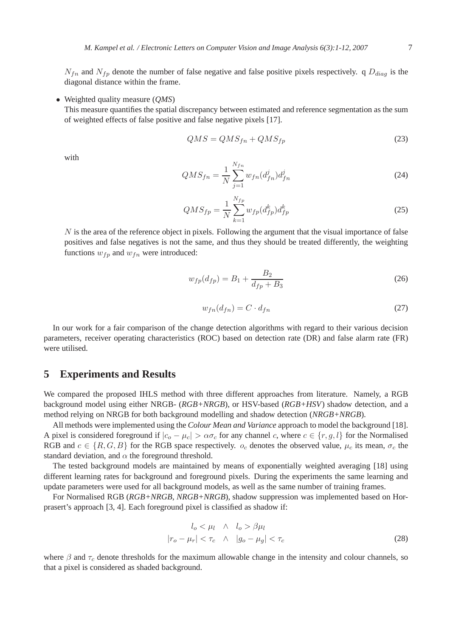$N_{fn}$  and  $N_{fp}$  denote the number of false negative and false positive pixels respectively. q  $D_{diag}$  is the diagonal distance within the frame.

#### • Weighted quality measure (*QMS*)

This measure quantifies the spatial discrepancy between estimated and reference segmentation as the sum of weighted effects of false positive and false negative pixels [17].

$$
QMS = QMS_{fn} + QMS_{fp}
$$
\n<sup>(23)</sup>

with

$$
QMS_{fn} = \frac{1}{N} \sum_{j=1}^{N_{fn}} w_{fn}(d_{fn}^j) d_{fn}^j
$$
\n(24)

$$
QMS_{fp} = \frac{1}{N} \sum_{k=1}^{N_{fp}} w_{fp}(d_{fp}^k) d_{fp}^k
$$
\n(25)

 $N$  is the area of the reference object in pixels. Following the argument that the visual importance of false positives and false negatives is not the same, and thus they should be treated differently, the weighting functions  $w_{fp}$  and  $w_{fn}$  were introduced:

$$
w_{fp}(d_{fp}) = B_1 + \frac{B_2}{d_{fp} + B_3} \tag{26}
$$

$$
w_{fn}(d_{fn}) = C \cdot d_{fn} \tag{27}
$$

In our work for a fair comparison of the change detection algorithms with regard to their various decision parameters, receiver operating characteristics (ROC) based on detection rate (DR) and false alarm rate (FR) were utilised.

## **5 Experiments and Results**

We compared the proposed IHLS method with three different approaches from literature. Namely, a RGB background model using either NRGB- (*RGB+NRGB*), or HSV-based (*RGB+HSV*) shadow detection, and a method relying on NRGB for both background modelling and shadow detection (*NRGB+NRGB*).

All methods were implemented using the *Colour Mean and Variance* approach to model the background [18]. A pixel is considered foreground if  $|c_{\alpha} - \mu_c| > \alpha \sigma_c$  for any channel c, where  $c \in \{r, q, l\}$  for the Normalised RGB and  $c \in \{R, G, B\}$  for the RGB space respectively.  $o_c$  denotes the observed value,  $\mu_c$  its mean,  $\sigma_c$  the standard deviation, and  $\alpha$  the foreground threshold.

The tested background models are maintained by means of exponentially weighted averaging [18] using different learning rates for background and foreground pixels. During the experiments the same learning and update parameters were used for all background models, as well as the same number of training frames.

For Normalised RGB (*RGB+NRGB*, *NRGB+NRGB*), shadow suppression was implemented based on Horprasert's approach [3, 4]. Each foreground pixel is classified as shadow if:

$$
l_o < \mu_l \quad \land \quad l_o > \beta \mu_l
$$
\n
$$
|r_o - \mu_r| < \tau_c \quad \land \quad |g_o - \mu_g| < \tau_c \tag{28}
$$

where  $\beta$  and  $\tau_c$  denote thresholds for the maximum allowable change in the intensity and colour channels, so that a pixel is considered as shaded background.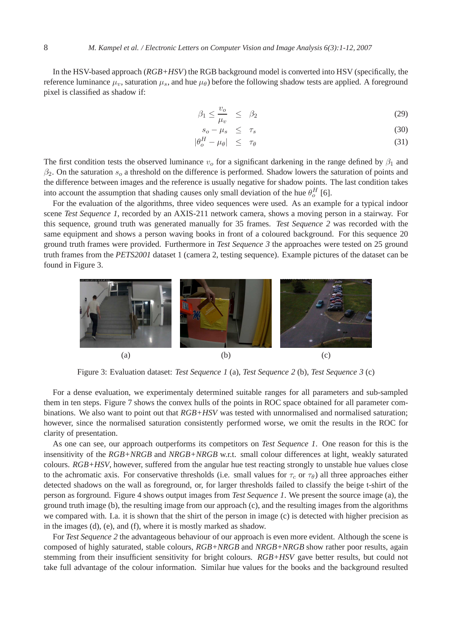In the HSV-based approach (*RGB+HSV*) the RGB background model is converted into HSV (specifically, the reference luminance  $\mu_v$ , saturation  $\mu_s$ , and hue  $\mu_\theta$ ) before the following shadow tests are applied. A foreground pixel is classified as shadow if:

$$
\beta_1 \le \frac{v_o}{\mu_v} \le \beta_2 \tag{29}
$$

$$
s_o - \mu_s \leq \tau_s \tag{30}
$$

$$
|\theta_o^H - \mu_\theta| \le \tau_\theta \tag{31}
$$

The first condition tests the observed luminance  $v_0$  for a significant darkening in the range defined by  $\beta_1$  and  $\beta_2$ . On the saturation  $s_o$  a threshold on the difference is performed. Shadow lowers the saturation of points and the difference between images and the reference is usually negative for shadow points. The last condition takes into account the assumption that shading causes only small deviation of the hue  $\theta_o^H$  [6].

For the evaluation of the algorithms, three video sequences were used. As an example for a typical indoor scene *Test Sequence 1*, recorded by an AXIS-211 network camera, shows a moving person in a stairway. For this sequence, ground truth was generated manually for 35 frames. *Test Sequence 2* was recorded with the same equipment and shows a person waving books in front of a coloured background. For this sequence 20 ground truth frames were provided. Furthermore in *Test Sequence 3* the approaches were tested on 25 ground truth frames from the *PETS2001* dataset 1 (camera 2, testing sequence). Example pictures of the dataset can be found in Figure 3.



Figure 3: Evaluation dataset: *Test Sequence 1* (a), *Test Sequence 2* (b), *Test Sequence 3* (c)

For a dense evaluation, we experimentaly determined suitable ranges for all parameters and sub-sampled them in ten steps. Figure 7 shows the convex hulls of the points in ROC space obtained for all parameter combinations. We also want to point out that *RGB+HSV* was tested with unnormalised and normalised saturation; however, since the normalised saturation consistently performed worse, we omit the results in the ROC for clarity of presentation.

As one can see, our approach outperforms its competitors on *Test Sequence 1*. One reason for this is the insensitivity of the *RGB+NRGB* and *NRGB+NRGB* w.r.t. small colour differences at light, weakly saturated colours. *RGB+HSV*, however, suffered from the angular hue test reacting strongly to unstable hue values close to the achromatic axis. For conservative thresholds (i.e. small values for  $\tau_c$  or  $\tau_\theta$ ) all three approaches either detected shadows on the wall as foreground, or, for larger thresholds failed to classify the beige t-shirt of the person as forground. Figure 4 shows output images from *Test Sequence 1*. We present the source image (a), the ground truth image (b), the resulting image from our approach (c), and the resulting images from the algorithms we compared with. I.a. it is shown that the shirt of the person in image (c) is detected with higher precision as in the images (d), (e), and (f), where it is mostly marked as shadow.

For *Test Sequence 2* the advantageous behaviour of our approach is even more evident. Although the scene is composed of highly saturated, stable colours, *RGB+NRGB* and *NRGB+NRGB* show rather poor results, again stemming from their insufficient sensitivity for bright colours. *RGB+HSV* gave better results, but could not take full advantage of the colour information. Similar hue values for the books and the background resulted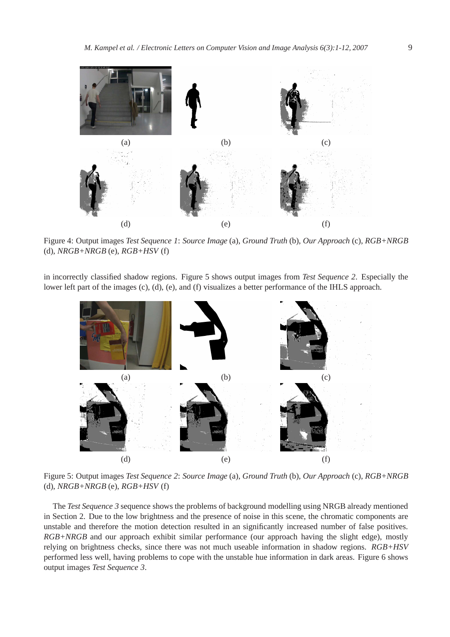

Figure 4: Output images *Test Sequence 1*: *Source Image* (a), *Ground Truth* (b), *Our Approach* (c), *RGB+NRGB* (d), *NRGB+NRGB* (e), *RGB+HSV* (f)

in incorrectly classified shadow regions. Figure 5 shows output images from *Test Sequence 2*. Especially the lower left part of the images (c), (d), (e), and (f) visualizes a better performance of the IHLS approach.



Figure 5: Output images *Test Sequence 2*: *Source Image* (a), *Ground Truth* (b), *Our Approach* (c), *RGB+NRGB* (d), *NRGB+NRGB* (e), *RGB+HSV* (f)

The *Test Sequence 3* sequence shows the problems of background modelling using NRGB already mentioned in Section 2. Due to the low brightness and the presence of noise in this scene, the chromatic components are unstable and therefore the motion detection resulted in an significantly increased number of false positives. *RGB+NRGB* and our approach exhibit similar performance (our approach having the slight edge), mostly relying on brightness checks, since there was not much useable information in shadow regions. *RGB+HSV* performed less well, having problems to cope with the unstable hue information in dark areas. Figure 6 shows output images *Test Sequence 3*.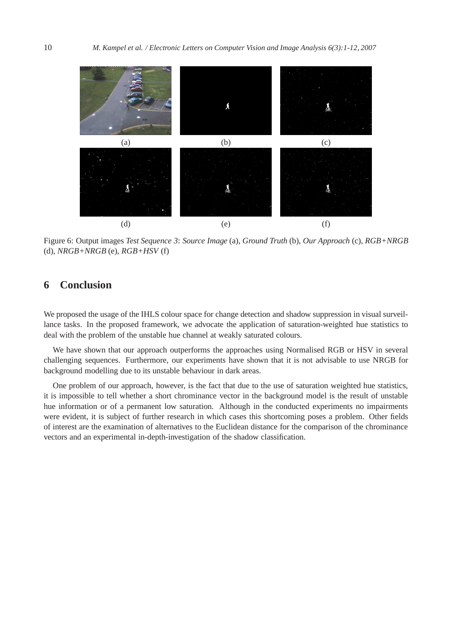

Figure 6: Output images *Test Sequence 3*: *Source Image* (a), *Ground Truth* (b), *Our Approach* (c), *RGB+NRGB* (d), *NRGB+NRGB* (e), *RGB+HSV* (f)

## **6 Conclusion**

We proposed the usage of the IHLS colour space for change detection and shadow suppression in visual surveillance tasks. In the proposed framework, we advocate the application of saturation-weighted hue statistics to deal with the problem of the unstable hue channel at weakly saturated colours.

We have shown that our approach outperforms the approaches using Normalised RGB or HSV in several challenging sequences. Furthermore, our experiments have shown that it is not advisable to use NRGB for background modelling due to its unstable behaviour in dark areas.

One problem of our approach, however, is the fact that due to the use of saturation weighted hue statistics, it is impossible to tell whether a short chrominance vector in the background model is the result of unstable hue information or of a permanent low saturation. Although in the conducted experiments no impairments were evident, it is subject of further research in which cases this shortcoming poses a problem. Other fields of interest are the examination of alternatives to the Euclidean distance for the comparison of the chrominance vectors and an experimental in-depth-investigation of the shadow classification.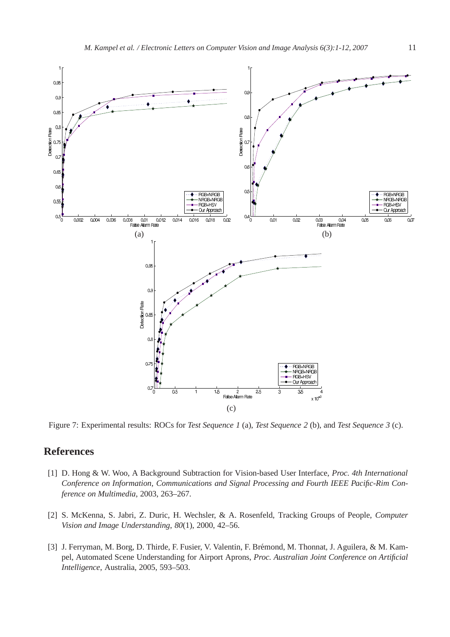

Figure 7: Experimental results: ROCs for *Test Sequence 1* (a), *Test Sequence 2* (b), and *Test Sequence 3* (c).

# **References**

- [1] D. Hong & W. Woo, A Background Subtraction for Vision-based User Interface, *Proc. 4th International Conference on Information, Communications and Signal Processing and Fourth IEEE Pacific-Rim Conference on Multimedia*, 2003, 263–267.
- [2] S. McKenna, S. Jabri, Z. Duric, H. Wechsler, & A. Rosenfeld, Tracking Groups of People, *Computer Vision and Image Understanding*, *80*(1), 2000, 42–56.
- [3] J. Ferryman, M. Borg, D. Thirde, F. Fusier, V. Valentin, F. Brémond, M. Thonnat, J. Aguilera, & M. Kampel, Automated Scene Understanding for Airport Aprons, *Proc. Australian Joint Conference on Artificial Intelligence*, Australia, 2005, 593–503.